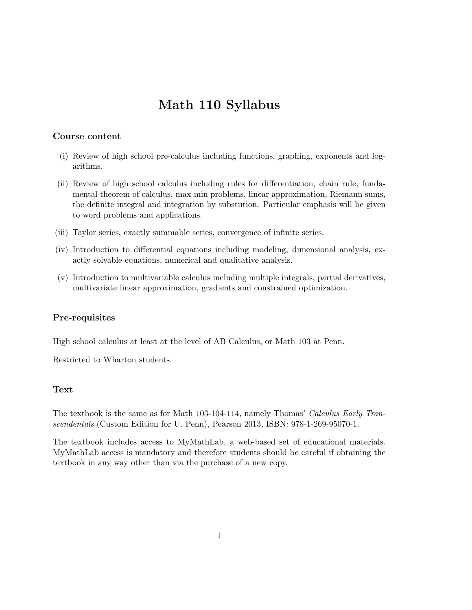# Math 110 Syllabus

#### Course content

- (i) Review of high school pre-calculus including functions, graphing, exponents and logarithms.
- (ii) Review of high school calculus including rules for differentiation, chain rule, fundamental theorem of calculus, max-min problems, linear approximation, Riemann sums, the definite integral and integration by substution. Particular emphasis will be given to word problems and applications.
- (iii) Taylor series, exactly summable series, convergence of infinite series.
- (iv) Introduction to differential equations including modeling, dimensional analysis, exactly solvable equations, numerical and qualitative analysis.
- (v) Introduction to multivariable calculus including multiple integrals, partial derivatives, multivariate linear approximation, gradients and constrained optimization.

#### Pre-requisites

High school calculus at least at the level of AB Calculus, or Math 103 at Penn.

Restricted to Wharton students.

#### Text

The textbook is the same as for Math 103-104-114, namely Thomas' Calculus Early Transcendentals (Custom Edition for U. Penn), Pearson 2013, ISBN: 978-1-269-95070-1.

The textbook includes access to MyMathLab, a web-based set of educational materials. MyMathLab access is mandatory and therefore students should be careful if obtaining the textbook in any way other than via the purchase of a new copy.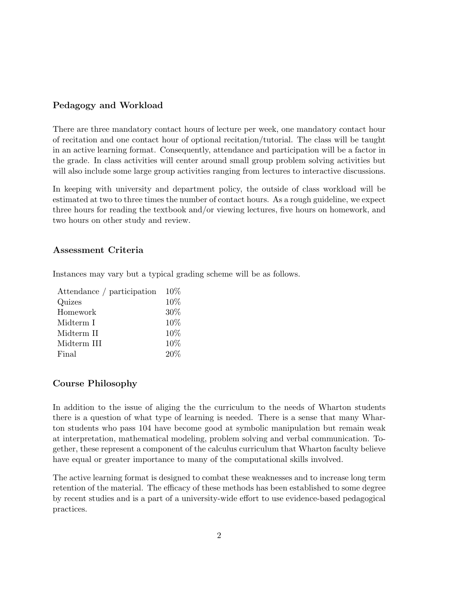### Pedagogy and Workload

There are three mandatory contact hours of lecture per week, one mandatory contact hour of recitation and one contact hour of optional recitation/tutorial. The class will be taught in an active learning format. Consequently, attendance and participation will be a factor in the grade. In class activities will center around small group problem solving activities but will also include some large group activities ranging from lectures to interactive discussions.

In keeping with university and department policy, the outside of class workload will be estimated at two to three times the number of contact hours. As a rough guideline, we expect three hours for reading the textbook and/or viewing lectures, five hours on homework, and two hours on other study and review.

#### Assessment Criteria

Instances may vary but a typical grading scheme will be as follows.

| Attendance / participation | $10\%$ |
|----------------------------|--------|
| Quizes                     | 10%    |
| Homework                   | 30%    |
| Midterm I                  | 10%    |
| Midterm II                 | 10%    |
| Midterm III                | 10%    |
| Final                      | 20%    |
|                            |        |

#### Course Philosophy

In addition to the issue of aliging the the curriculum to the needs of Wharton students there is a question of what type of learning is needed. There is a sense that many Wharton students who pass 104 have become good at symbolic manipulation but remain weak at interpretation, mathematical modeling, problem solving and verbal communication. Together, these represent a component of the calculus curriculum that Wharton faculty believe have equal or greater importance to many of the computational skills involved.

The active learning format is designed to combat these weaknesses and to increase long term retention of the material. The efficacy of these methods has been established to some degree by recent studies and is a part of a university-wide effort to use evidence-based pedagogical practices.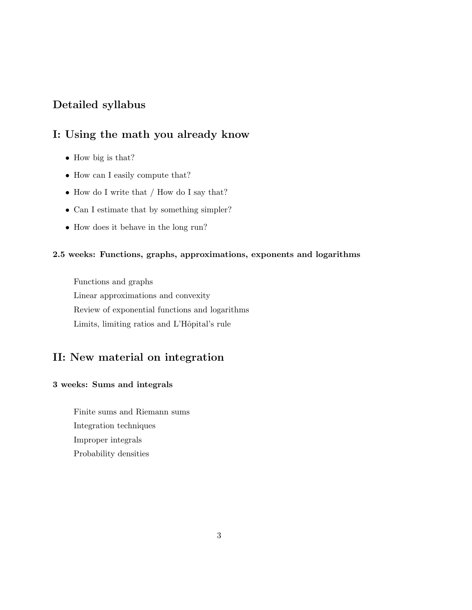## Detailed syllabus

## I: Using the math you already know

- How big is that?
- How can I easily compute that?
- How do I write that / How do I say that?
- Can I estimate that by something simpler?
- How does it behave in the long run?

## 2.5 weeks: Functions, graphs, approximations, exponents and logarithms

Functions and graphs Linear approximations and convexity Review of exponential functions and logarithms Limits, limiting ratios and L'Hôpital's rule

## II: New material on integration

#### 3 weeks: Sums and integrals

Finite sums and Riemann sums Integration techniques Improper integrals Probability densities